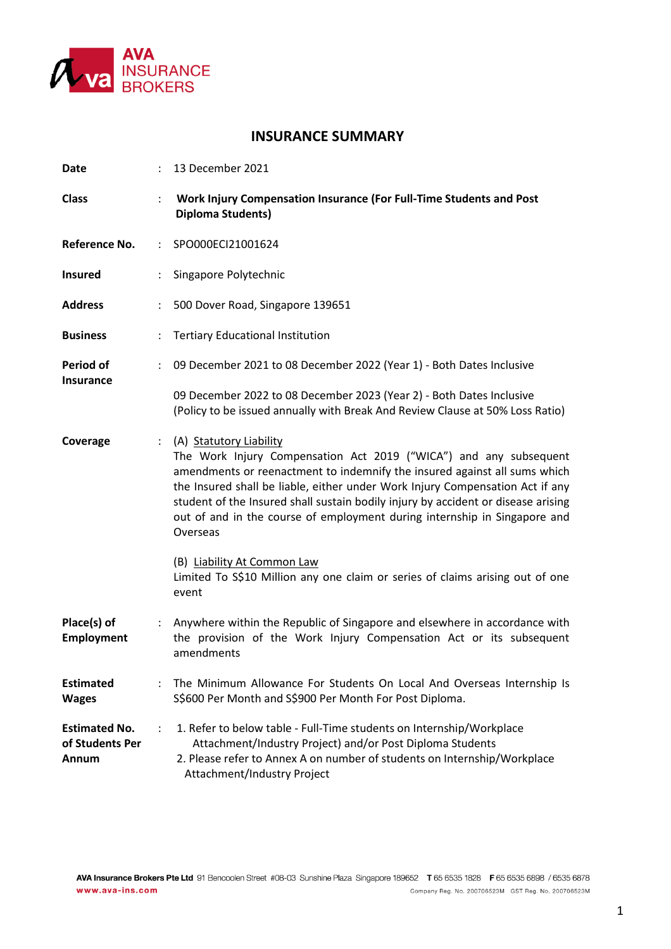

## **INSURANCE SUMMARY**

| <b>Date</b>                                      |                      | 13 December 2021                                                                                                                                                                                                                                                                                                                                                                                                                         |
|--------------------------------------------------|----------------------|------------------------------------------------------------------------------------------------------------------------------------------------------------------------------------------------------------------------------------------------------------------------------------------------------------------------------------------------------------------------------------------------------------------------------------------|
| <b>Class</b>                                     |                      | Work Injury Compensation Insurance (For Full-Time Students and Post<br><b>Diploma Students)</b>                                                                                                                                                                                                                                                                                                                                          |
| <b>Reference No.</b>                             | ÷                    | SPO000ECI21001624                                                                                                                                                                                                                                                                                                                                                                                                                        |
| <b>Insured</b>                                   |                      | Singapore Polytechnic                                                                                                                                                                                                                                                                                                                                                                                                                    |
| <b>Address</b>                                   | $\ddot{\cdot}$       | 500 Dover Road, Singapore 139651                                                                                                                                                                                                                                                                                                                                                                                                         |
| <b>Business</b>                                  | $\ddot{\cdot}$       | <b>Tertiary Educational Institution</b>                                                                                                                                                                                                                                                                                                                                                                                                  |
| Period of<br>Insurance                           | ÷                    | 09 December 2021 to 08 December 2022 (Year 1) - Both Dates Inclusive                                                                                                                                                                                                                                                                                                                                                                     |
|                                                  |                      | 09 December 2022 to 08 December 2023 (Year 2) - Both Dates Inclusive<br>(Policy to be issued annually with Break And Review Clause at 50% Loss Ratio)                                                                                                                                                                                                                                                                                    |
| Coverage                                         | ÷                    | (A) Statutory Liability<br>The Work Injury Compensation Act 2019 ("WICA") and any subsequent<br>amendments or reenactment to indemnify the insured against all sums which<br>the Insured shall be liable, either under Work Injury Compensation Act if any<br>student of the Insured shall sustain bodily injury by accident or disease arising<br>out of and in the course of employment during internship in Singapore and<br>Overseas |
|                                                  |                      | (B) Liability At Common Law<br>Limited To S\$10 Million any one claim or series of claims arising out of one<br>event                                                                                                                                                                                                                                                                                                                    |
| Place(s) of<br><b>Employment</b>                 | ÷                    | Anywhere within the Republic of Singapore and elsewhere in accordance with<br>the provision of the Work Injury Compensation Act or its subsequent<br>amendments                                                                                                                                                                                                                                                                          |
| <b>Estimated</b><br><b>Wages</b>                 | $\ddot{\phantom{a}}$ | The Minimum Allowance For Students On Local And Overseas Internship Is<br>S\$600 Per Month and S\$900 Per Month For Post Diploma.                                                                                                                                                                                                                                                                                                        |
| <b>Estimated No.</b><br>of Students Per<br>Annum | $\ddot{\cdot}$       | 1. Refer to below table - Full-Time students on Internship/Workplace<br>Attachment/Industry Project) and/or Post Diploma Students<br>2. Please refer to Annex A on number of students on Internship/Workplace<br>Attachment/Industry Project                                                                                                                                                                                             |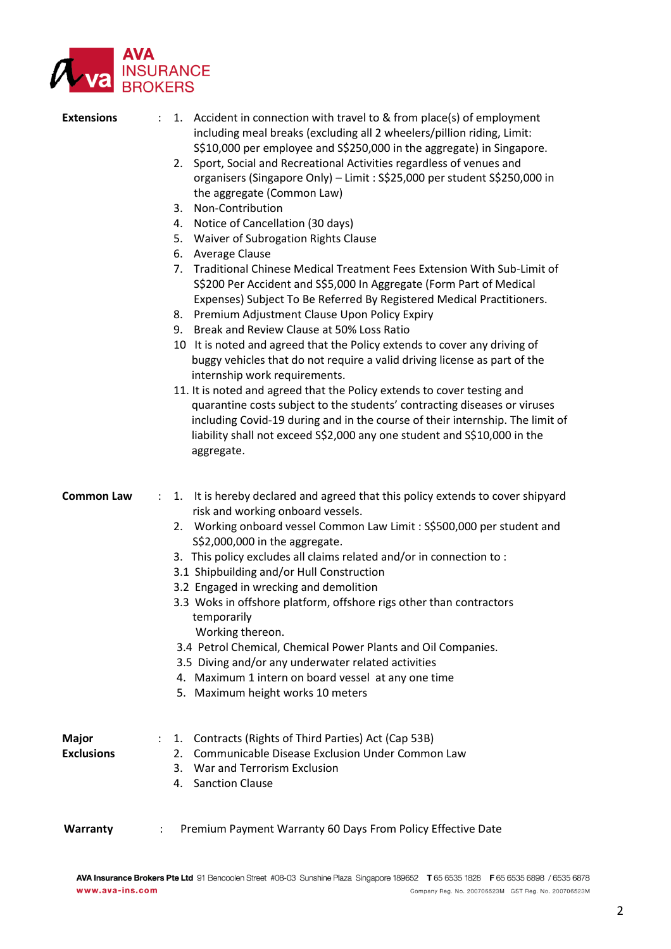

| <b>Extensions</b>          | 1. Accident in connection with travel to & from place(s) of employment<br>including meal breaks (excluding all 2 wheelers/pillion riding, Limit:<br>S\$10,000 per employee and S\$250,000 in the aggregate) in Singapore.<br>2. Sport, Social and Recreational Activities regardless of venues and<br>organisers (Singapore Only) - Limit: S\$25,000 per student S\$250,000 in<br>the aggregate (Common Law)<br>Non-Contribution<br>3.<br>4. Notice of Cancellation (30 days)<br>5. Waiver of Subrogation Rights Clause<br>Average Clause<br>6.<br>Traditional Chinese Medical Treatment Fees Extension With Sub-Limit of<br>7.<br>S\$200 Per Accident and S\$5,000 In Aggregate (Form Part of Medical<br>Expenses) Subject To Be Referred By Registered Medical Practitioners.<br>8. Premium Adjustment Clause Upon Policy Expiry<br>9. Break and Review Clause at 50% Loss Ratio<br>10 It is noted and agreed that the Policy extends to cover any driving of<br>buggy vehicles that do not require a valid driving license as part of the<br>internship work requirements.<br>11. It is noted and agreed that the Policy extends to cover testing and<br>quarantine costs subject to the students' contracting diseases or viruses<br>including Covid-19 during and in the course of their internship. The limit of<br>liability shall not exceed S\$2,000 any one student and S\$10,000 in the<br>aggregate. |
|----------------------------|------------------------------------------------------------------------------------------------------------------------------------------------------------------------------------------------------------------------------------------------------------------------------------------------------------------------------------------------------------------------------------------------------------------------------------------------------------------------------------------------------------------------------------------------------------------------------------------------------------------------------------------------------------------------------------------------------------------------------------------------------------------------------------------------------------------------------------------------------------------------------------------------------------------------------------------------------------------------------------------------------------------------------------------------------------------------------------------------------------------------------------------------------------------------------------------------------------------------------------------------------------------------------------------------------------------------------------------------------------------------------------------------------------------|
| <b>Common Law</b>          | It is hereby declared and agreed that this policy extends to cover shipyard<br>1.<br>÷<br>risk and working onboard vessels.<br>2. Working onboard vessel Common Law Limit: S\$500,000 per student and<br>S\$2,000,000 in the aggregate.<br>3. This policy excludes all claims related and/or in connection to :<br>3.1 Shipbuilding and/or Hull Construction<br>3.2 Engaged in wrecking and demolition<br>3.3 Woks in offshore platform, offshore rigs other than contractors<br>temporarily<br>Working thereon.<br>3.4 Petrol Chemical, Chemical Power Plants and Oil Companies.<br>3.5 Diving and/or any underwater related activities<br>4. Maximum 1 intern on board vessel at any one time<br>5. Maximum height works 10 meters                                                                                                                                                                                                                                                                                                                                                                                                                                                                                                                                                                                                                                                                             |
| Major<br><b>Exclusions</b> | 1. Contracts (Rights of Third Parties) Act (Cap 53B)<br>$\ddot{\phantom{a}}$<br>Communicable Disease Exclusion Under Common Law<br>2.<br>3. War and Terrorism Exclusion<br>4. Sanction Clause                                                                                                                                                                                                                                                                                                                                                                                                                                                                                                                                                                                                                                                                                                                                                                                                                                                                                                                                                                                                                                                                                                                                                                                                                    |
| Warranty                   | Premium Payment Warranty 60 Days From Policy Effective Date                                                                                                                                                                                                                                                                                                                                                                                                                                                                                                                                                                                                                                                                                                                                                                                                                                                                                                                                                                                                                                                                                                                                                                                                                                                                                                                                                      |